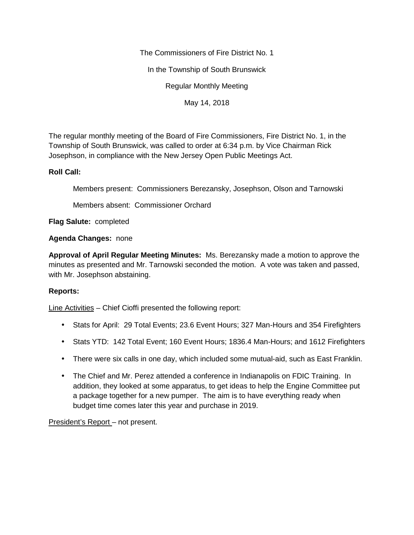The Commissioners of Fire District No. 1

In the Township of South Brunswick

Regular Monthly Meeting

May 14, 2018

The regular monthly meeting of the Board of Fire Commissioners, Fire District No. 1, in the Township of South Brunswick, was called to order at 6:34 p.m. by Vice Chairman Rick Josephson, in compliance with the New Jersey Open Public Meetings Act.

## **Roll Call:**

Members present: Commissioners Berezansky, Josephson, Olson and Tarnowski

Members absent: Commissioner Orchard

**Flag Salute:** completed

## **Agenda Changes:** none

**Approval of April Regular Meeting Minutes:** Ms. Berezansky made a motion to approve the minutes as presented and Mr. Tarnowski seconded the motion. A vote was taken and passed, with Mr. Josephson abstaining.

# **Reports:**

Line Activities – Chief Cioffi presented the following report:

- Stats for April: 29 Total Events; 23.6 Event Hours; 327 Man-Hours and 354 Firefighters
- Stats YTD: 142 Total Event; 160 Event Hours; 1836.4 Man-Hours; and 1612 Firefighters
- There were six calls in one day, which included some mutual-aid, such as East Franklin.
- The Chief and Mr. Perez attended a conference in Indianapolis on FDIC Training. In addition, they looked at some apparatus, to get ideas to help the Engine Committee put a package together for a new pumper. The aim is to have everything ready when budget time comes later this year and purchase in 2019.

President's Report – not present.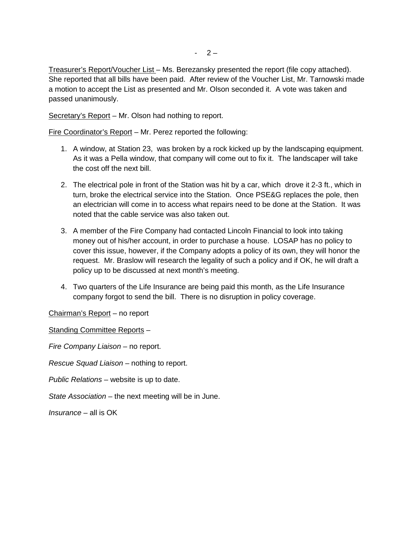Treasurer's Report/Voucher List – Ms. Berezansky presented the report (file copy attached). She reported that all bills have been paid. After review of the Voucher List, Mr. Tarnowski made a motion to accept the List as presented and Mr. Olson seconded it. A vote was taken and passed unanimously.

Secretary's Report – Mr. Olson had nothing to report.

Fire Coordinator's Report – Mr. Perez reported the following:

- 1. A window, at Station 23, was broken by a rock kicked up by the landscaping equipment. As it was a Pella window, that company will come out to fix it. The landscaper will take the cost off the next bill.
- 2. The electrical pole in front of the Station was hit by a car, which drove it 2-3 ft., which in turn, broke the electrical service into the Station. Once PSE&G replaces the pole, then an electrician will come in to access what repairs need to be done at the Station. It was noted that the cable service was also taken out.
- 3. A member of the Fire Company had contacted Lincoln Financial to look into taking money out of his/her account, in order to purchase a house. LOSAP has no policy to cover this issue, however, if the Company adopts a policy of its own, they will honor the request. Mr. Braslow will research the legality of such a policy and if OK, he will draft a policy up to be discussed at next month's meeting.
- 4. Two quarters of the Life Insurance are being paid this month, as the Life Insurance company forgot to send the bill. There is no disruption in policy coverage.

Chairman's Report – no report

Standing Committee Reports –

*Fire Company Liaison –* no report.

*Rescue Squad Liaison –* nothing to report.

*Public Relations –* website is up to date.

*State Association –* the next meeting will be in June.

*Insurance –* all is OK